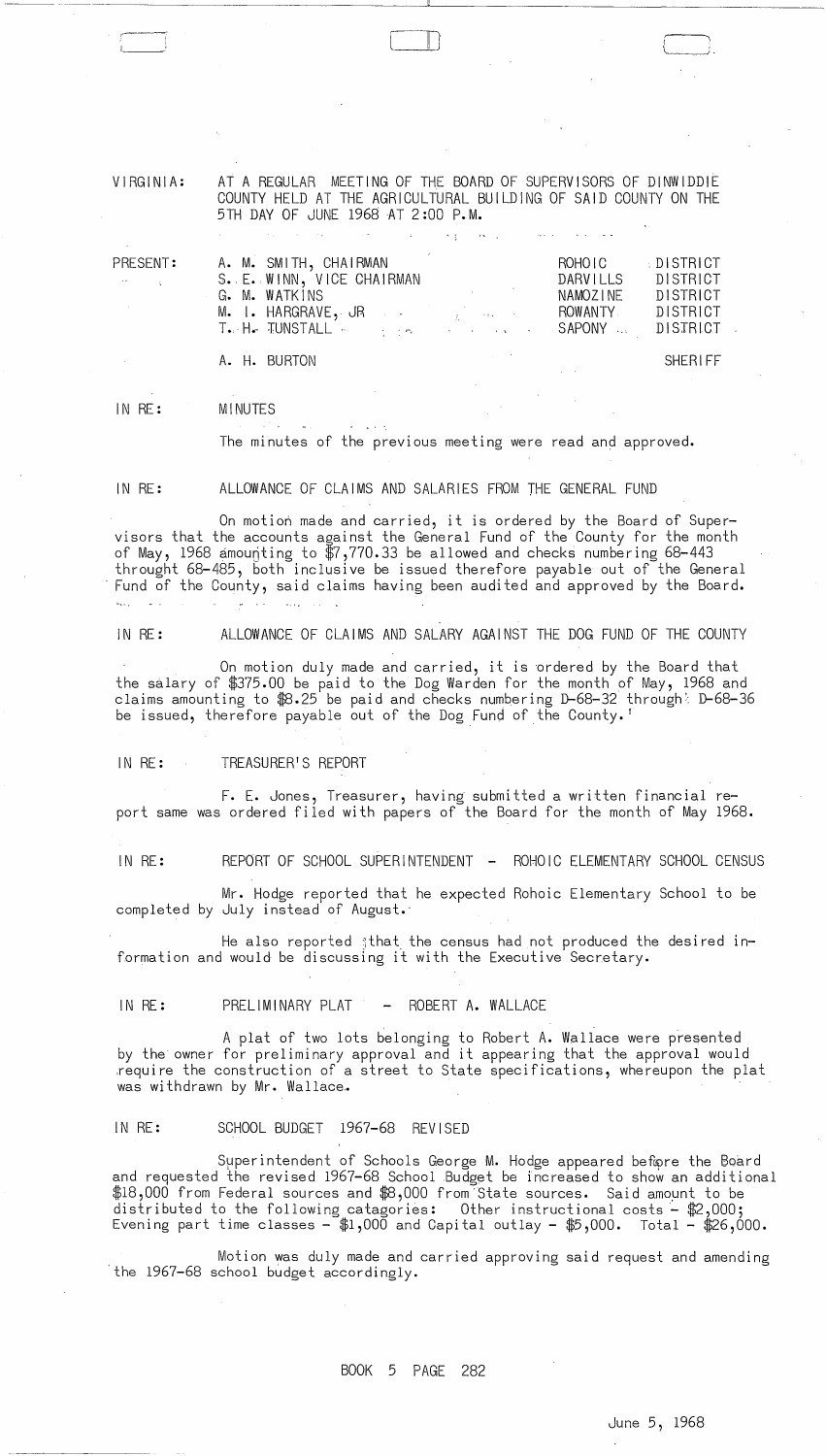VIRGINIA:

AT A REGULAR MEETING OF THE BOARD OF SUPERVISORS OF DINWIDDIE COUNTY HELD AT THE AGRICULTURAL BUILDING OF SAID COUNTY ON THE 5TH DAY OF JUNE 1968 AT 2 :00 P.M.

 $\epsilon_{\rm T}$ 

| PRESENT:                 | A. M. SMITH, CHAIRMAN                                                     | ROHOIC   | <b>DISTRICT</b> |
|--------------------------|---------------------------------------------------------------------------|----------|-----------------|
| <b>Contract Contract</b> | S. E. WINN, VICE CHAIRMAN                                                 | DARVILLS | DISTRICT        |
|                          | G. M. WATKINS                                                             | NAMOZINE | DISTRICT        |
|                          | M. I. HARGRAVE, JR ANDRESS AND ROWANTY                                    |          | DISTRICT        |
|                          | T. H. TUNSTALL <b>And State of the Contract Contract</b> SAPONY  DISTRICT |          |                 |
|                          | A. H. BURTON                                                              |          | SHERIFF         |

 $\Box$ 

IN RE: MINUTES

The minutes of the previous meeting were read and approved.

IN RE: ALLOWANCE OF CLAIMS AND SALARIES FROM THE GENERAL FUND

On motion made and carried, it is ordered by the Board of Supervisors that the accounts against the General Fund of the County for the month of May, 1968 amounting to \$7,770.33 be allowed and checks numbering 68-443<br>throught 68-485, both inclusive be issued therefore payable out of the General Fund of the County, said claims having been audited and approved by the Board.

IN RE: ALLOWANCE OF CLAIMS AND SALARY AGAINST THE DOG FUND OF THE COUNTY

On motion duly made and carried, it is ordered by the Board that the salary of \$375.00 be paid to the Dog Warden for the month of May, 1968 and claims amounting to \$8.25 be paid and checks numbering D-68-32 through D-68-36 be issued, therefore payable out of the Dog Fund of the County. <sup>I</sup>

IN RE: TREASURER1S REPORT

F. E. Jones, Treasurer, having submitted a written financial report same was ordered filed with papers of the Board for the month of May 1968.

IN RE: REPORT OF SCHOOL SUPERINTENDENT - ROHOIC ELEMENTARY SCHOOL CENSUS

Mr. Hodge reported that he expected Rohoic Elementary School to be completed by July instead of August.'

He also reported  $\frac{1}{3}$ that the census had not produced the desired information and would be discussing it with the Executive Secretary.

IN RE: PRELIMINARY PLAT - ROBERT A. WALLACE

A plat of two lots belonging to Robert A. Wallace were presented by the owner for preliminary approval and it appearing that the approval would .require the construction of a street to State specifications, whereupon the plat was withdrawn by Mr. Wallace.

#### IN RE: SCHOOL BUDGET 1967-68 REVISED

Superintendent of Schools George M. Hodge appeared before the Board and requested the revised 1967-68 School Budget be increased to show an additional \$18,000 from Federal sources and \$8,000 from State sources. Said amount to be distributed to the following catagories: Other instructional costs- \$2,000; Evening part time classes  $-$  \$1,000 and Capital outlay - \$5,000. Total – \$26,000.

. Motion was duly made and carried approving said request and amending the 1967-68 school budget accordingly.

BOOK 5 PAGE 282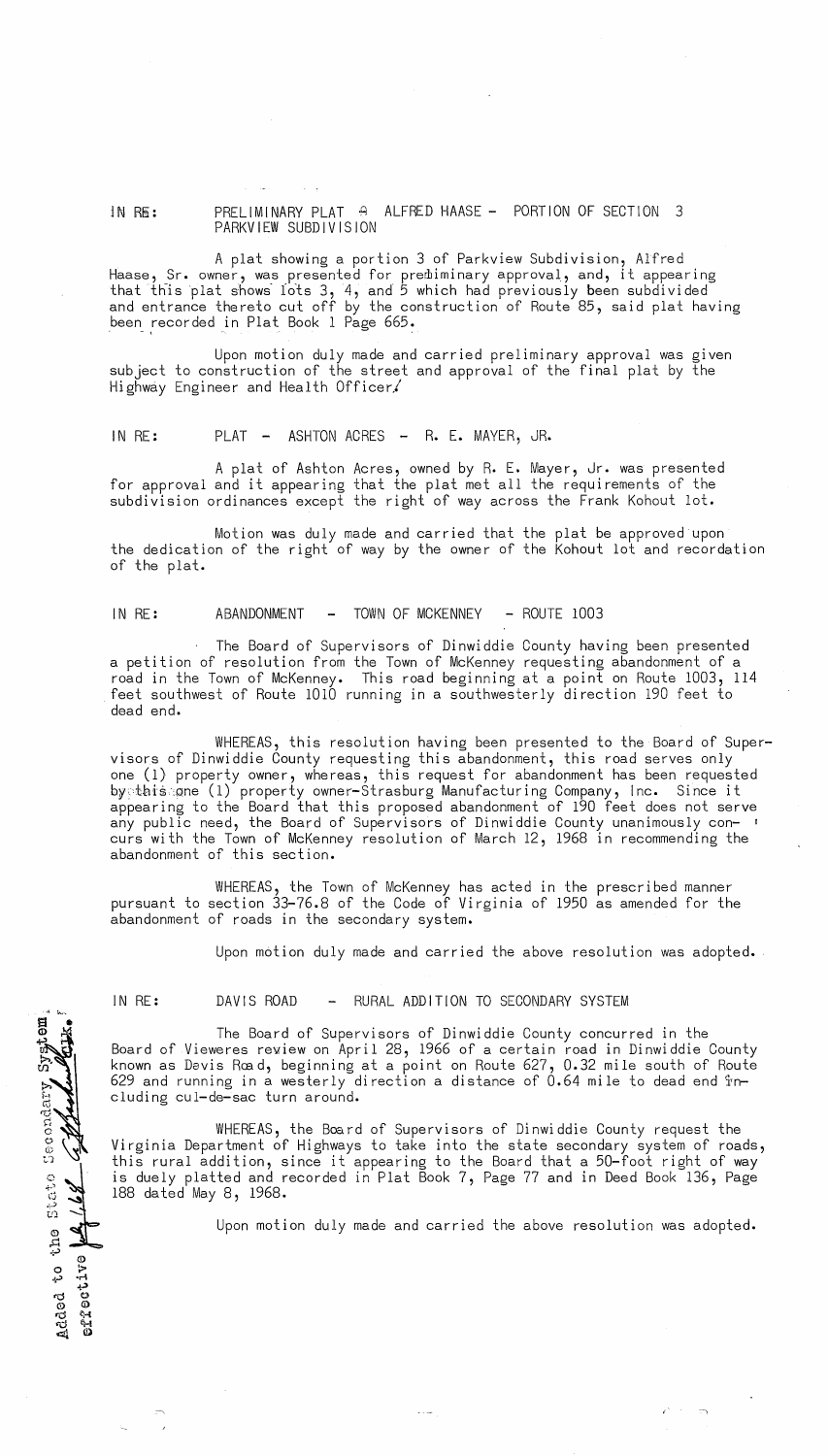## in RE: PRELIMINARY PLAT A ALFRED HAASE - PORTION OF SECTION 3 PARKVIEW SUBDIVISION

A plat showing a portion 3 of Parkview Subdivision, Alfred Haase, Sr. owner, was presented for prerliiminary approval, and, it appearing that this plat shows lots 3, 4, and 5 which had previously been subdivided and entrance thereto cut off by the construction of Route 85, said plat having been recorded in Plat Book 1 Page 665.

Upon motion duly made and carried preliminary approval was given subject to construction of the street and approval of the final plat by the Highway Engineer and Health Officer.

## IN RE: PLAT - ASHTON ACRES - R. E. MAYER, JR.

A plat of Ashton Acres, owned by R. E. Mayer, Jr. was presented for approval and it appearing that the plat met all the requirements of the subdivision ordinances except the right of way across the Frank Kohout lot.

Motion was duly made and carried that the plat be approved upon the dedication of the right of way by the owner of the Kohout lot and recordation of the plat.

### IN RE: ABANDONMENT - TOWN OF MCKENNEY - ROUTE 1003

The Board of Supervisors of Dinwiddie County having been presented a petition of resolution from the Town of McKenney requesting abandonment of a road in the Town of McKenney. This road beginning at a point on Route 1003, 114  $\,$ feet southwest of Route 1010 running in a southwesterly direction 190 feet to dead end.

WHEREAS, this resolution having been presented to the Board of Supervisors of Dinwiddie County requesting this abandonment, this road serves only one (1) property owner, whereas, this request for abandonment has been requested bytbi~ .Qne (1) property owner-Strasburg Manufacturing Company, Inc. Since it appearing to the Board that this proposed abandonment of 190 feet does not serve any public need, the Board of Supervisors of Dinwiddie County unanimously con- <sup>I</sup> curs with the Town of McKenney resolution of March 12, 1968 in recommending the abandonment of this section.

WHEREAS, the Town of McKenney has acted in the prescribed manner pursuant to section 33-76.8 of the Code of Virginia of 1950 as amended for the abandonment of roads in the secondary system.

Upon motion duly made and carried the above resolution was adopted.

 $4.1\%$ •<br>द

c..~ **.... )**  (j c":.') *U)* 

©<br>4> م<br>4-

Added<br>effect

## IN RE: DAVIS ROAD - RURAL ADDITION TO SECONDARY SYSTEM

The Board of Supervisors of Dinwiddie County concurred in the Board of Vieweres review on April 28, 1966 of a certain road in Dinwiddie County known as Davis Rœd, beginning at a point on Route 627, 0.32 mile south of Route 629 and running in a westerly direction a distance of 0.64 mile to dead end including cUl-de-sac turn around.

WHEREAS, the Board of Supervisors of Dinwiddie County request the Virginia Department of Highways to take into the state secondary system of roads, this rural addition, since it appearing to the Board that a 50-foot right of way is duely platted and recorded in Plat Book 7, Page 77 and in Deed Book 136, Page 188 dated May 8, 1968.

Upon motion duly made and carried the above resolution was adopted.

 $\epsilon$ <sup>t</sup> -  $\infty$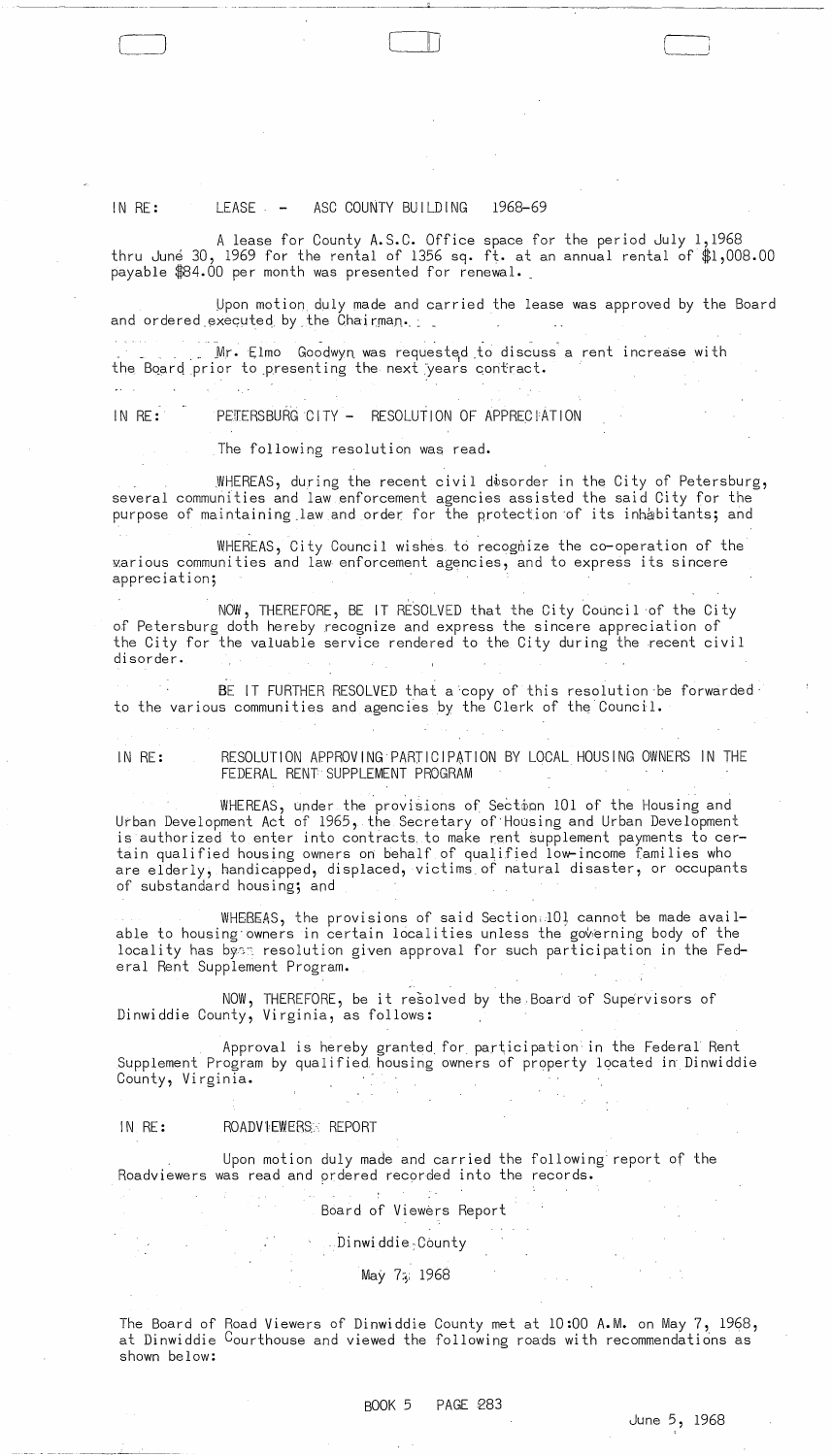# IN  $RE:$  LEASE  $-$  ASC COUNTY BUILDING 1968-69

 $\Box$ 

A lease for County A.S.C. Office space for the period July 1,1968 thru June 30, 1969 for the rental of 1356 sq. ft. at an annual rental of  $$1,008.00$ payable \$84.00 per month was presented for renewal.

Upon motion duly made and carried the lease was approved by the Board and ordered executed by the Chairman.

. Mr. Elmo Goodwyn was requested to discuss a rent increase with the Board prior to presenting the next years contract.

IN RE: PETERSBURG CITY - RESOLUTION OF APPRECTATION

The following resolution was read.

WHEREAS, during the recent civil d $\delta$ sorder in the City of Petersburg, several communities and law enforcement agencies assisted the said City for the purpose of maintaining law and order for the protection of its inhabitants; and

WHEREAS, City Council wishes to recognize the co-operation of the y.arious communities and law enforcement agencies, and to express its sincere appreciation;

NOW, THEREFORE, BE IT RESOLVED that the City Council of the City of Petersburg doth hereby recognize and express the sincere appreciation of the City for the valuable service rendered to the City during the recent civil di sorder.

BE IT FURTHER RESOLVED that a copy of this resolution be forwarded to the various communities and agencies by the Clerk of the Council.

IN RE: RESOLUTION APPROVING PARTICIPATION BY LOCAL HOUSING OWNERS IN THE FEDERAL RENT SUPPLEMENT PROGRAM

WHEREAS, under the provisions of Sectoon 101 of the Housing and Urban Development Act of 1965, the Secretary of Housing and Urban Development is authorized to enter into contracts, to make rent supplement payments to certain qualified housing owners on behalf of qualified low-income families who are elderly, handicapped, displaced, victims of natural disaster, or occupants of substandard housing; and

WHEREAS, the provisions of said Section:10! cannot be made available to housing owners in certain localities unless the governing body of the locality has byes resolution given approval for such participation in the Federal Rent Supplement Program.

NOW, THEREFORE, be it resolved by the Board of Supervisors of Dinwiddie County, Virginia, as follows:

Approval is hereby granted for par\icipation in the Federal Rent Supplement Program by qualified housing owners of property located in Dinwiddie County, Virginia.

### IN RE: ROADVlEWERS:, REPORT

Upon motion duly made and carried the following report of the Roadviewers was read and ordered recorded into the records.

Board of Viewers Report

, Dinwiddie;Cbunty

May 75, 1968

The Board of Road Viewers of Dinwiddie County met at 10:00 A.M. on May 7, 1968, at Dinwiddie Courthouse and viewed the following roads with recommendations as shown below: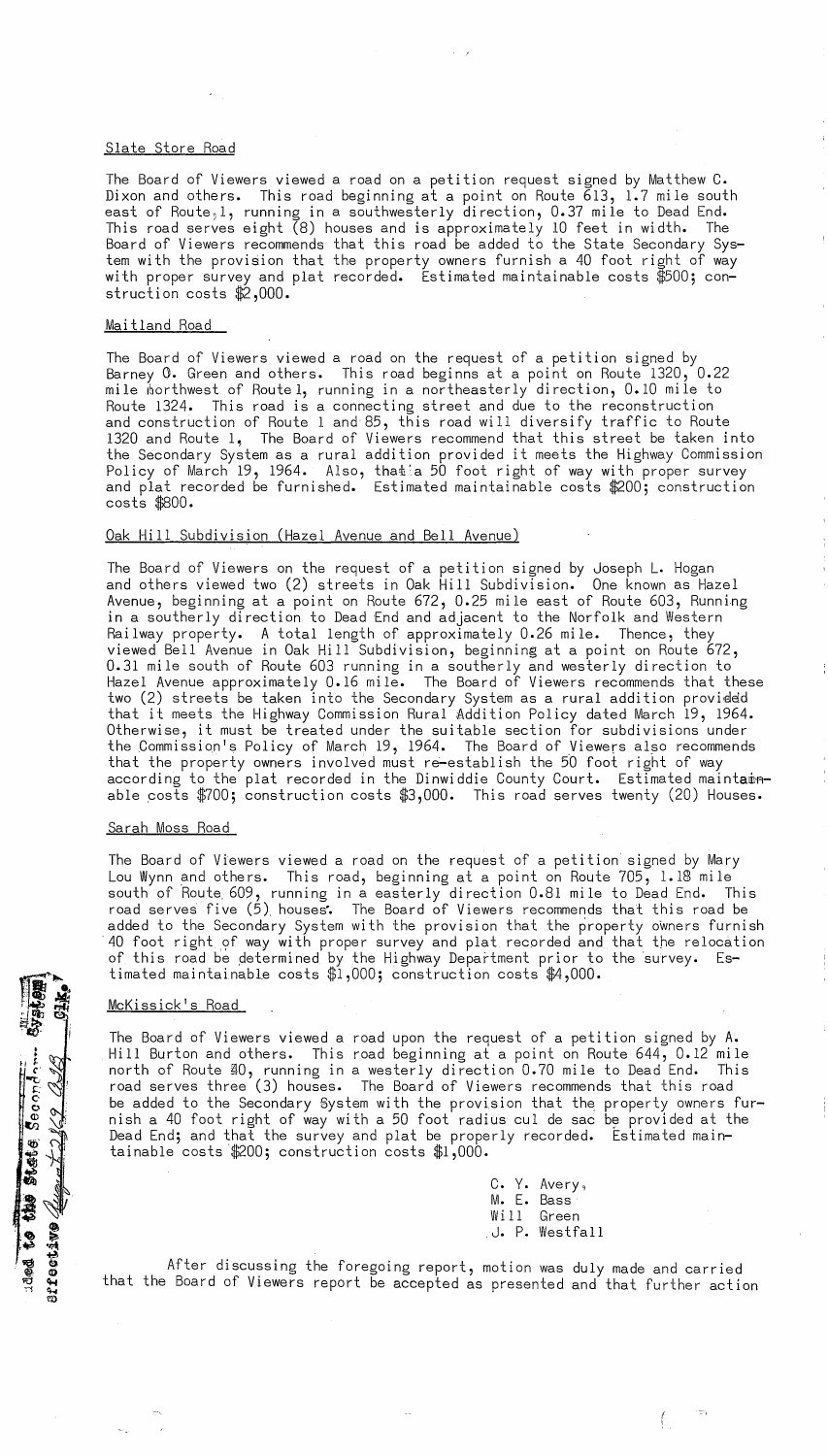## Slate Store Road

The Board of Viewers viewed a road on a petition request signed by Matthew C. Dixon and others. This road beginning at a point on Route 613, 1.7 mile south east of Route, 1, running in a southwesterly direction, 0.37 mile to Dead End.<br>This road serves eight (8) houses and is approximately 10 feet in width. The This road serves eight  $(8)$  houses and is approximately 10 feet in width. Board of Viewers recommends that this road be added to the State Secondary System with the provision that the property owners furnish a 40 foot right of way with proper survey and plat recorded. Estimated maintainable costs \$500; construction costs \$2,000.

### Maitland Road

The Board of Viewers viewed a road on the request of a petition signed by Barney 0. Green and others. This road beginns at a point on Route 1320, 0.22 mile Iborthwest of Route 1, running in a northeasterly direction, 0.10 mile to Route 1324. This road is a connecting street and due to the reconstruction and construction of Route 1 and 85, this road will diversify traffic to Route 1320 and Route  $l,$  The Board of Viewers recommend that this street be taken into the Secondary System as a rural addition provided it meets the Highway Commission Policy of March 19, 1964. Also, that a 50 foot right of way with proper survey and plat recorded be furnished. Estimated maintainable costs \$200; construction costs \$800.

### Oak Hill Subdivision (Hazel Avenue and Bell Avenue)

The Board of Viewers on the request of a petition signed by Joseph L. Hogan and others viewed two (2) streets in Oak Hill Subdivision. One known as Hazel Avenue, beginning at a point on Route 672, 0.25 mile east of Route 603, Running in a southerly direction to Dead End and adjacent to the Norfolk and Western Railway property. A total length of approximately 0.26 mile. Thence, they viewed Bell Avenue in Oak Hill Subdivision, beginning at a point on Route 672, 0.31 mile south of Route 603 running in a southerly and westerly direction to Hazel Avenue approximately 0.16 mile. The Board of Viewers recommends that these two (2) streets be taken into the Secondary System as a rural addition provided that it meets the Highway Commission Rural Addition Policy dated March 19, 1964. Otherwise, it must be treated under the suitable section for subdivisions under the Commission's Policy of March 19, 1964. The Board of Viewers also recommends that the property owners involved must re-establish the 50 foot right of way according to the plat recorded in the Dinwiddie County Court. Estimated maintamable costs  $$700;$  construction costs  $$3,000$ . This road serves twenty (20) Houses.

#### <u>Sarah Moss Road</u>

The Board of Viewers viewed a road on the request of a petition signed by Mary Lou Wynn and others. This road, beginning at a point on Route 705, 1.lS mile south of Route, 609, running in a easterly direction O.Bl mile to Dead End. This road serves five (5) houses. The Board of Viewers recommends that this road be added to the Secondary System with the provision that the property owners furnish 40 foot right of way with proper survey and plat recorded and that the relocation of this road be determined by the Highway Department prior to the survey. Estimated maintainable costs  $$1,000$ ; construction costs  $$4,000$ .

#### McKissick's Road

 $\frac{1}{2}$  .  $~^{37}_{37}$   $~^{61}_{31}$ 

 $\mathbf{s}_{\mathbf{e}}^{\mathbf{e}}$ 

10' ~

 $^{\circ}$ io<br>E ~  $+ 2.5$ 

 $^{10}$ ef ect $^{2}$ f ect

The Board of Viewers viewed a road upon the request of a petition signed by A. Hill Burton and others. This road beginning at a point on Route 644, 0.12 mile north of Route @O, running in a westerly direction 0.70 mile to Dead End. This road serves three (3) houses. The Board of Viewers recommends that this road be added to the Secondary System with the provision that the property owners furnish a 40 foot right of way with a 50 foot radius cul de sac be provided at the Dead End; and that the survey and plat be properly recorded. Estimated maintainable costs  $$200;$  construction costs  $$1,000$ .

|        | C. Y. Avery,            |
|--------|-------------------------|
|        | M. E. Bass <sup>.</sup> |
| Will - | Green                   |
|        | J. P. Westfall          |

 $\equiv$ 

f.

After discussing the foregoing report, motion was duly made and carried that the Board of Viewers report be accepted as presented and that further action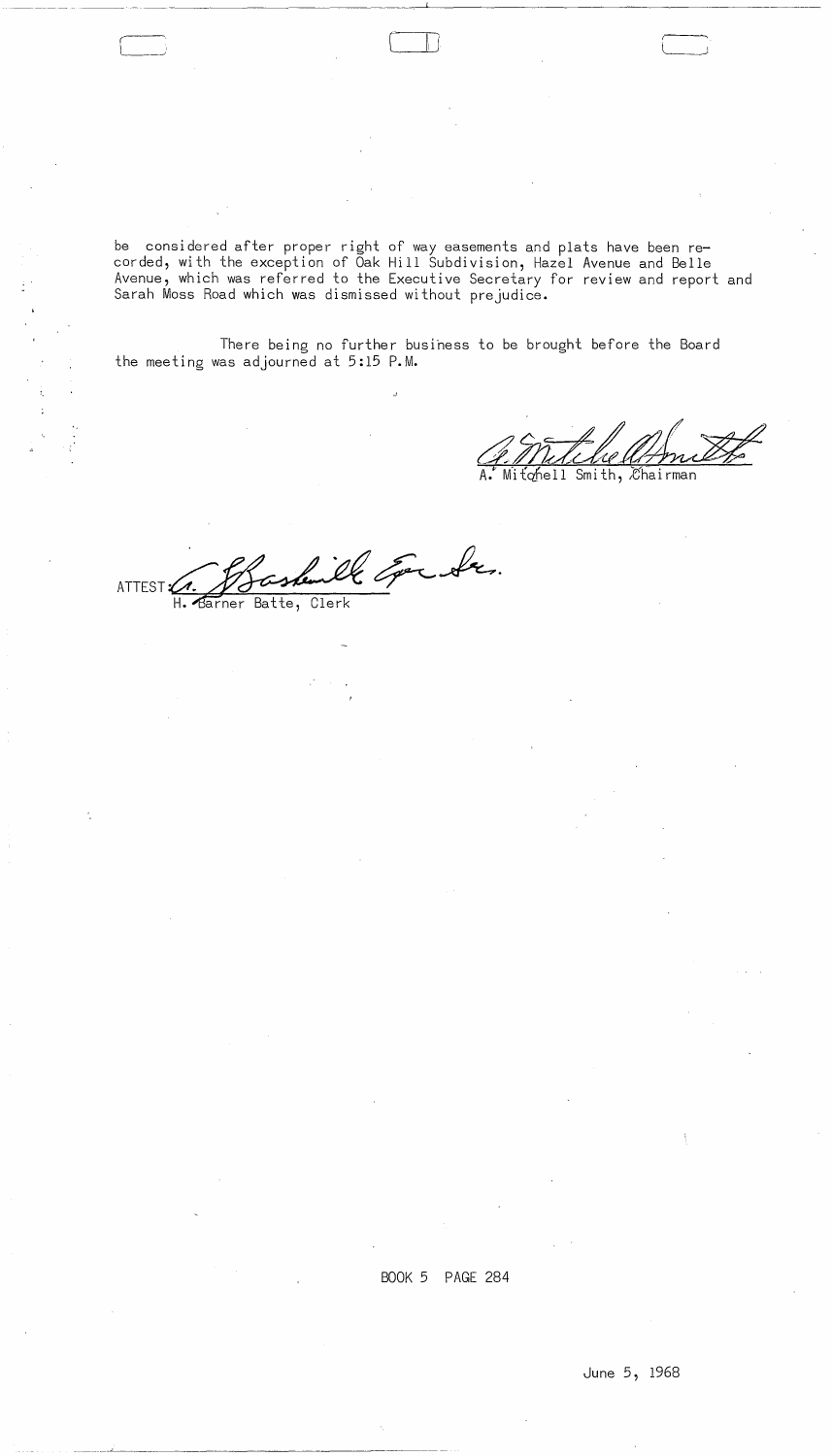------- ---

 $\Box$ 

 $\boxed{\phantom{a}}$ 

be considered after proper right of way easements and plats have been recorded, with the exception of Oak Hill Subdivision, Hazel Avenue and Belle Avenue, which was referred to the Executive Secretary for review and report and Sarah Moss Road which was dismissed without prejudice.

There being no further busihess to be brought before the Board the meeting was adjourned at 5:15 **P.M.** 

Mitchell Smith, *Chairman* 

- el vil En de ATTEST C. J Saskenille Eper Sa. H. Barner Batte, Clerk

BOOK 5 PAGE 284